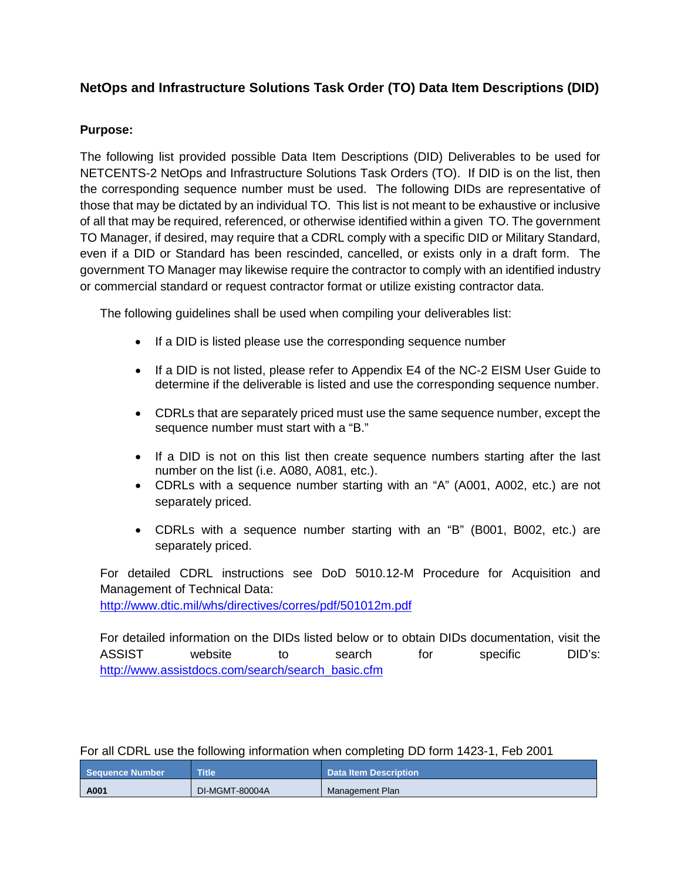## **NetOps and Infrastructure Solutions Task Order (TO) Data Item Descriptions (DID)**

## **Purpose:**

The following list provided possible Data Item Descriptions (DID) Deliverables to be used for NETCENTS-2 NetOps and Infrastructure Solutions Task Orders (TO). If DID is on the list, then the corresponding sequence number must be used. The following DIDs are representative of those that may be dictated by an individual TO. This list is not meant to be exhaustive or inclusive of all that may be required, referenced, or otherwise identified within a given TO. The government TO Manager, if desired, may require that a CDRL comply with a specific DID or Military Standard, even if a DID or Standard has been rescinded, cancelled, or exists only in a draft form. The government TO Manager may likewise require the contractor to comply with an identified industry or commercial standard or request contractor format or utilize existing contractor data.

The following guidelines shall be used when compiling your deliverables list:

- If a DID is listed please use the corresponding sequence number
- If a DID is not listed, please refer to Appendix E4 of the NC-2 EISM User Guide to determine if the deliverable is listed and use the corresponding sequence number.
- CDRLs that are separately priced must use the same sequence number, except the sequence number must start with a "B."
- If a DID is not on this list then create sequence numbers starting after the last number on the list (i.e. A080, A081, etc.).
- CDRLs with a sequence number starting with an "A" (A001, A002, etc.) are not separately priced.
- CDRLs with a sequence number starting with an "B" (B001, B002, etc.) are separately priced.

For detailed CDRL instructions see DoD 5010.12-M Procedure for Acquisition and Management of Technical Data:

<http://www.dtic.mil/whs/directives/corres/pdf/501012m.pdf>

For detailed information on the DIDs listed below or to obtain DIDs documentation, visit the ASSIST website to search for specific DID's: [http://www.assistdocs.com/search/search\\_basic.cfm](http://www.assistdocs.com/search/search_basic.cfm)

For all CDRL use the following information when completing DD form 1423-1, Feb 2001

| <b>Sequence Number</b> | <b>Title</b>   | <b>Data Item Description</b> |
|------------------------|----------------|------------------------------|
| A001                   | DI-MGMT-80004A | Management Plan              |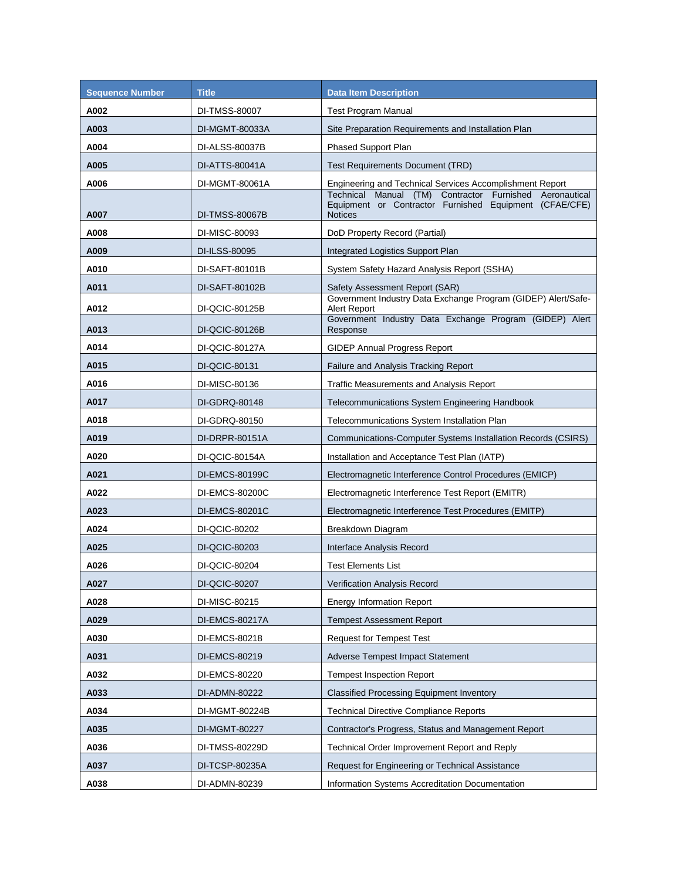| <b>Sequence Number</b> | <b>Title</b>   | <b>Data Item Description</b>                                                                                                           |
|------------------------|----------------|----------------------------------------------------------------------------------------------------------------------------------------|
| A002                   | DI-TMSS-80007  | <b>Test Program Manual</b>                                                                                                             |
| A003                   | DI-MGMT-80033A | Site Preparation Requirements and Installation Plan                                                                                    |
| A004                   | DI-ALSS-80037B | <b>Phased Support Plan</b>                                                                                                             |
| A005                   | DI-ATTS-80041A | <b>Test Requirements Document (TRD)</b>                                                                                                |
| A006                   | DI-MGMT-80061A | Engineering and Technical Services Accomplishment Report                                                                               |
| A007                   | DI-TMSS-80067B | Technical Manual (TM) Contractor<br>Furnished Aeronautical<br>Equipment or Contractor Furnished Equipment (CFAE/CFE)<br><b>Notices</b> |
| A008                   | DI-MISC-80093  | DoD Property Record (Partial)                                                                                                          |
| A009                   | DI-ILSS-80095  | Integrated Logistics Support Plan                                                                                                      |
| A010                   | DI-SAFT-80101B | System Safety Hazard Analysis Report (SSHA)                                                                                            |
| A011                   | DI-SAFT-80102B | Safety Assessment Report (SAR)                                                                                                         |
| A012                   | DI-QCIC-80125B | Government Industry Data Exchange Program (GIDEP) Alert/Safe-<br>Alert Report                                                          |
| A013                   | DI-QCIC-80126B | Government Industry Data Exchange Program (GIDEP) Alert<br>Response                                                                    |
| A014                   | DI-QCIC-80127A | <b>GIDEP Annual Progress Report</b>                                                                                                    |
| A015                   | DI-QCIC-80131  | Failure and Analysis Tracking Report                                                                                                   |
| A016                   | DI-MISC-80136  | Traffic Measurements and Analysis Report                                                                                               |
| A017                   | DI-GDRQ-80148  | Telecommunications System Engineering Handbook                                                                                         |
| A018                   | DI-GDRQ-80150  | Telecommunications System Installation Plan                                                                                            |
| A019                   | DI-DRPR-80151A | Communications-Computer Systems Installation Records (CSIRS)                                                                           |
| A020                   | DI-QCIC-80154A | Installation and Acceptance Test Plan (IATP)                                                                                           |
| A021                   | DI-EMCS-80199C | Electromagnetic Interference Control Procedures (EMICP)                                                                                |
| A022                   | DI-EMCS-80200C | Electromagnetic Interference Test Report (EMITR)                                                                                       |
| A023                   | DI-EMCS-80201C | Electromagnetic Interference Test Procedures (EMITP)                                                                                   |
| A024                   | DI-QCIC-80202  | Breakdown Diagram                                                                                                                      |
| A025                   | DI-QCIC-80203  | Interface Analysis Record                                                                                                              |
| A026                   | DI-QCIC-80204  | <b>Test Elements List</b>                                                                                                              |
| A027                   | DI-QCIC-80207  | Verification Analysis Record                                                                                                           |
| A028                   | DI-MISC-80215  | <b>Energy Information Report</b>                                                                                                       |
| A029                   | DI-EMCS-80217A | <b>Tempest Assessment Report</b>                                                                                                       |
| A030                   | DI-EMCS-80218  | <b>Request for Tempest Test</b>                                                                                                        |
| A031                   | DI-EMCS-80219  | Adverse Tempest Impact Statement                                                                                                       |
| A032                   | DI-EMCS-80220  | <b>Tempest Inspection Report</b>                                                                                                       |
| A033                   | DI-ADMN-80222  | <b>Classified Processing Equipment Inventory</b>                                                                                       |
| A034                   | DI-MGMT-80224B | <b>Technical Directive Compliance Reports</b>                                                                                          |
| A035                   | DI-MGMT-80227  | Contractor's Progress, Status and Management Report                                                                                    |
| A036                   | DI-TMSS-80229D | Technical Order Improvement Report and Reply                                                                                           |
| A037                   | DI-TCSP-80235A | Request for Engineering or Technical Assistance                                                                                        |
| A038                   | DI-ADMN-80239  | Information Systems Accreditation Documentation                                                                                        |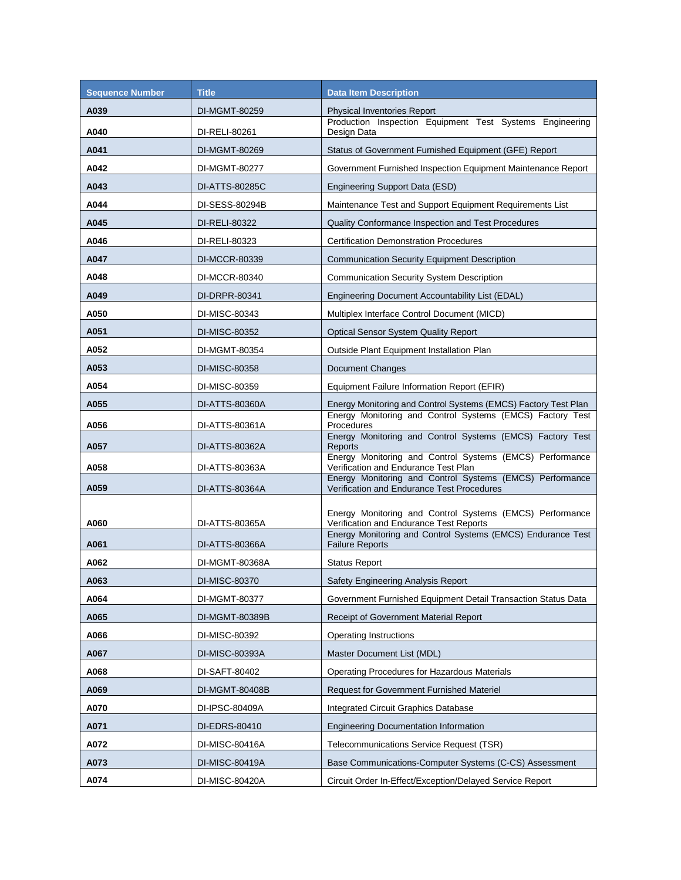| <b>Sequence Number</b> | <b>Title</b>   | <b>Data Item Description</b>                                                                                                                                       |
|------------------------|----------------|--------------------------------------------------------------------------------------------------------------------------------------------------------------------|
| A039                   | DI-MGMT-80259  | <b>Physical Inventories Report</b>                                                                                                                                 |
| A040                   | DI-RELI-80261  | Production Inspection Equipment Test Systems Engineering<br>Design Data                                                                                            |
| A041                   | DI-MGMT-80269  | Status of Government Furnished Equipment (GFE) Report                                                                                                              |
| A042                   | DI-MGMT-80277  | Government Furnished Inspection Equipment Maintenance Report                                                                                                       |
| A043                   | DI-ATTS-80285C | Engineering Support Data (ESD)                                                                                                                                     |
| A044                   | DI-SESS-80294B | Maintenance Test and Support Equipment Requirements List                                                                                                           |
| A045                   | DI-RELI-80322  | Quality Conformance Inspection and Test Procedures                                                                                                                 |
| A046                   | DI-RELI-80323  | <b>Certification Demonstration Procedures</b>                                                                                                                      |
| A047                   | DI-MCCR-80339  | <b>Communication Security Equipment Description</b>                                                                                                                |
| A048                   | DI-MCCR-80340  | <b>Communication Security System Description</b>                                                                                                                   |
| A049                   | DI-DRPR-80341  | Engineering Document Accountability List (EDAL)                                                                                                                    |
| A050                   | DI-MISC-80343  | Multiplex Interface Control Document (MICD)                                                                                                                        |
| A051                   | DI-MISC-80352  | <b>Optical Sensor System Quality Report</b>                                                                                                                        |
| A052                   | DI-MGMT-80354  | Outside Plant Equipment Installation Plan                                                                                                                          |
| A053                   | DI-MISC-80358  | Document Changes                                                                                                                                                   |
| A054                   | DI-MISC-80359  | Equipment Failure Information Report (EFIR)                                                                                                                        |
| A055                   | DI-ATTS-80360A | Energy Monitoring and Control Systems (EMCS) Factory Test Plan                                                                                                     |
| A056                   | DI-ATTS-80361A | Energy Monitoring and Control Systems (EMCS) Factory Test<br>Procedures                                                                                            |
| A057                   | DI-ATTS-80362A | Energy Monitoring and Control Systems (EMCS) Factory Test<br>Reports                                                                                               |
| A058                   | DI-ATTS-80363A | Energy Monitoring and Control Systems (EMCS) Performance<br>Verification and Endurance Test Plan                                                                   |
| A059                   | DI-ATTS-80364A | Energy Monitoring and Control Systems (EMCS) Performance<br>Verification and Endurance Test Procedures                                                             |
| A060                   | DI-ATTS-80365A | Energy Monitoring and Control Systems (EMCS) Performance<br>Verification and Endurance Test Reports<br>Energy Monitoring and Control Systems (EMCS) Endurance Test |
| A061                   | DI-ATTS-80366A | <b>Failure Reports</b>                                                                                                                                             |
| A062                   | DI-MGMT-80368A | <b>Status Report</b>                                                                                                                                               |
| A063                   | DI-MISC-80370  | Safety Engineering Analysis Report                                                                                                                                 |
| A064                   | DI-MGMT-80377  | Government Furnished Equipment Detail Transaction Status Data                                                                                                      |
| A065                   | DI-MGMT-80389B | Receipt of Government Material Report                                                                                                                              |
| A066                   | DI-MISC-80392  | Operating Instructions                                                                                                                                             |
| A067                   | DI-MISC-80393A | Master Document List (MDL)                                                                                                                                         |
| A068                   | DI-SAFT-80402  | Operating Procedures for Hazardous Materials                                                                                                                       |
| A069                   | DI-MGMT-80408B | <b>Request for Government Furnished Materiel</b>                                                                                                                   |
| A070                   | DI-IPSC-80409A | Integrated Circuit Graphics Database                                                                                                                               |
| A071                   | DI-EDRS-80410  | <b>Engineering Documentation Information</b>                                                                                                                       |
| A072                   | DI-MISC-80416A | Telecommunications Service Request (TSR)                                                                                                                           |
| A073                   | DI-MISC-80419A | Base Communications-Computer Systems (C-CS) Assessment                                                                                                             |
| A074                   | DI-MISC-80420A | Circuit Order In-Effect/Exception/Delayed Service Report                                                                                                           |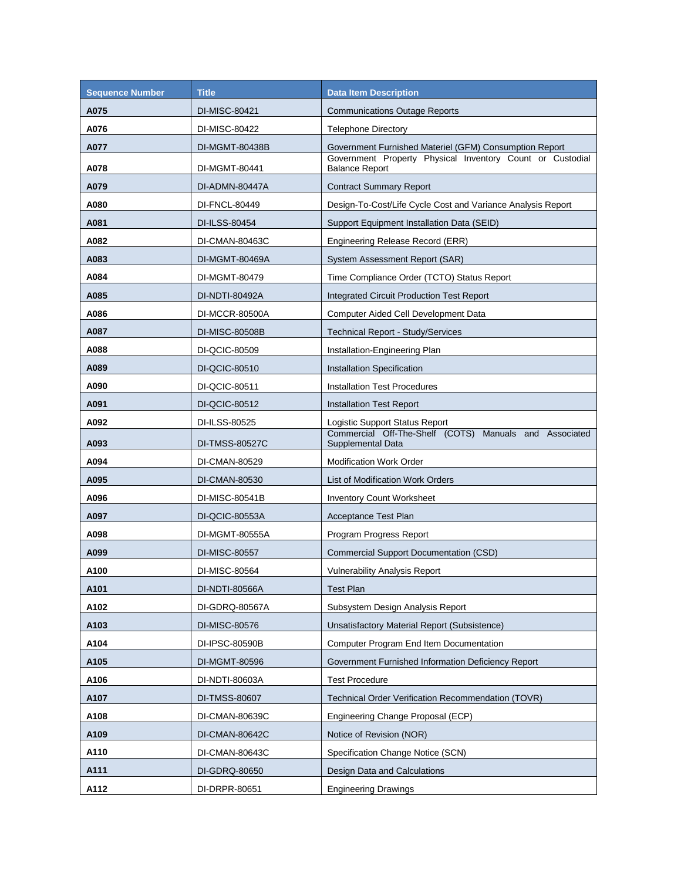| <b>Sequence Number</b> | <b>Title</b>   | <b>Data Item Description</b>                                                       |
|------------------------|----------------|------------------------------------------------------------------------------------|
| A075                   | DI-MISC-80421  | <b>Communications Outage Reports</b>                                               |
| A076                   | DI-MISC-80422  | <b>Telephone Directory</b>                                                         |
| A077                   | DI-MGMT-80438B | Government Furnished Materiel (GFM) Consumption Report                             |
| A078                   | DI-MGMT-80441  | Government Property Physical Inventory Count or Custodial<br><b>Balance Report</b> |
| A079                   | DI-ADMN-80447A | <b>Contract Summary Report</b>                                                     |
| A080                   | DI-FNCL-80449  | Design-To-Cost/Life Cycle Cost and Variance Analysis Report                        |
| A081                   | DI-ILSS-80454  | Support Equipment Installation Data (SEID)                                         |
| A082                   | DI-CMAN-80463C | Engineering Release Record (ERR)                                                   |
| A083                   | DI-MGMT-80469A | System Assessment Report (SAR)                                                     |
| A084                   | DI-MGMT-80479  | Time Compliance Order (TCTO) Status Report                                         |
| A085                   | DI-NDTI-80492A | Integrated Circuit Production Test Report                                          |
| A086                   | DI-MCCR-80500A | Computer Aided Cell Development Data                                               |
| A087                   | DI-MISC-80508B | <b>Technical Report - Study/Services</b>                                           |
| A088                   | DI-QCIC-80509  | Installation-Engineering Plan                                                      |
| A089                   | DI-QCIC-80510  | Installation Specification                                                         |
| A090                   | DI-QCIC-80511  | <b>Installation Test Procedures</b>                                                |
| A091                   | DI-QCIC-80512  | <b>Installation Test Report</b>                                                    |
| A092                   | DI-ILSS-80525  | Logistic Support Status Report                                                     |
| A093                   | DI-TMSS-80527C | Commercial Off-The-Shelf (COTS) Manuals and Associated<br>Supplemental Data        |
| A094                   | DI-CMAN-80529  | <b>Modification Work Order</b>                                                     |
| A095                   | DI-CMAN-80530  | List of Modification Work Orders                                                   |
| A096                   | DI-MISC-80541B | <b>Inventory Count Worksheet</b>                                                   |
| A097                   | DI-QCIC-80553A | <b>Acceptance Test Plan</b>                                                        |
| A098                   | DI-MGMT-80555A | Program Progress Report                                                            |
| A099                   | DI-MISC-80557  | Commercial Support Documentation (CSD)                                             |
| A100                   | DI-MISC-80564  | <b>Vulnerability Analysis Report</b>                                               |
| A101                   | DI-NDTI-80566A | <b>Test Plan</b>                                                                   |
| A102                   | DI-GDRQ-80567A | Subsystem Design Analysis Report                                                   |
| A103                   | DI-MISC-80576  | Unsatisfactory Material Report (Subsistence)                                       |
| A104                   | DI-IPSC-80590B | <b>Computer Program End Item Documentation</b>                                     |
| A105                   | DI-MGMT-80596  | Government Furnished Information Deficiency Report                                 |
| A106                   | DI-NDTI-80603A | <b>Test Procedure</b>                                                              |
| A107                   | DI-TMSS-80607  | <b>Technical Order Verification Recommendation (TOVR)</b>                          |
| A108                   | DI-CMAN-80639C | Engineering Change Proposal (ECP)                                                  |
| A109                   | DI-CMAN-80642C | Notice of Revision (NOR)                                                           |
| A110                   | DI-CMAN-80643C | Specification Change Notice (SCN)                                                  |
| A111                   | DI-GDRQ-80650  | Design Data and Calculations                                                       |
| A112                   | DI-DRPR-80651  | <b>Engineering Drawings</b>                                                        |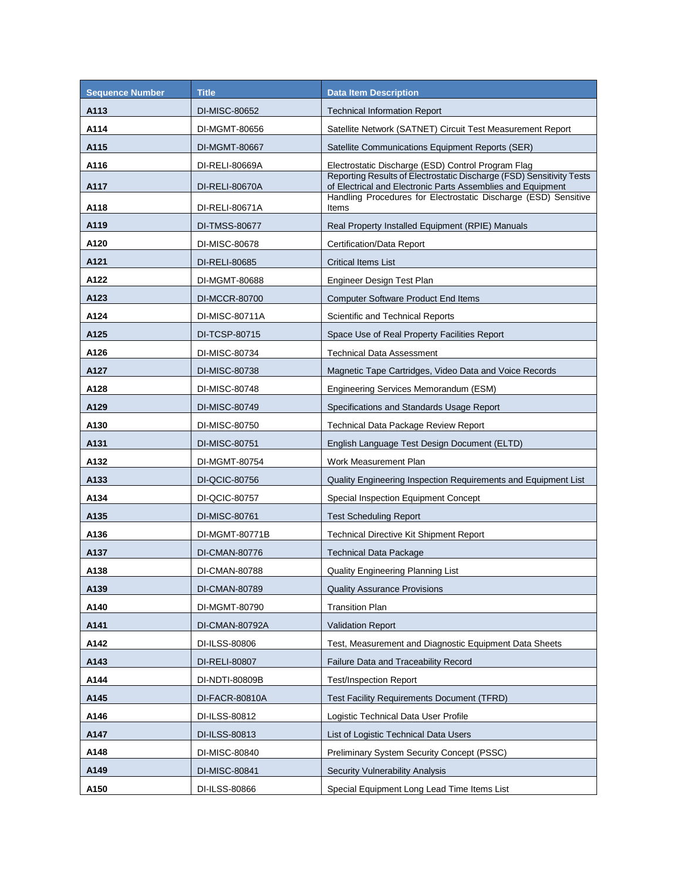| <b>Sequence Number</b> | <b>Title</b>   | <b>Data Item Description</b>                                                                                                        |
|------------------------|----------------|-------------------------------------------------------------------------------------------------------------------------------------|
| A113                   | DI-MISC-80652  | <b>Technical Information Report</b>                                                                                                 |
| A114                   | DI-MGMT-80656  | Satellite Network (SATNET) Circuit Test Measurement Report                                                                          |
| A115                   | DI-MGMT-80667  | Satellite Communications Equipment Reports (SER)                                                                                    |
| A116                   | DI-RELI-80669A | Electrostatic Discharge (ESD) Control Program Flag                                                                                  |
| A117                   | DI-RELI-80670A | Reporting Results of Electrostatic Discharge (FSD) Sensitivity Tests<br>of Electrical and Electronic Parts Assemblies and Equipment |
| A118                   | DI-RELI-80671A | Handling Procedures for Electrostatic Discharge (ESD) Sensitive<br>Items                                                            |
| A119                   | DI-TMSS-80677  | Real Property Installed Equipment (RPIE) Manuals                                                                                    |
| A120                   | DI-MISC-80678  | Certification/Data Report                                                                                                           |
| A121                   | DI-RELI-80685  | <b>Critical Items List</b>                                                                                                          |
| A122                   | DI-MGMT-80688  | Engineer Design Test Plan                                                                                                           |
| A123                   | DI-MCCR-80700  | <b>Computer Software Product End Items</b>                                                                                          |
| A124                   | DI-MISC-80711A | Scientific and Technical Reports                                                                                                    |
| A125                   | DI-TCSP-80715  | Space Use of Real Property Facilities Report                                                                                        |
| A126                   | DI-MISC-80734  | Technical Data Assessment                                                                                                           |
| A127                   | DI-MISC-80738  | Magnetic Tape Cartridges, Video Data and Voice Records                                                                              |
| A128                   | DI-MISC-80748  | Engineering Services Memorandum (ESM)                                                                                               |
| A129                   | DI-MISC-80749  | Specifications and Standards Usage Report                                                                                           |
| A130                   | DI-MISC-80750  | Technical Data Package Review Report                                                                                                |
| A131                   | DI-MISC-80751  | English Language Test Design Document (ELTD)                                                                                        |
| A132                   | DI-MGMT-80754  | Work Measurement Plan                                                                                                               |
| A133                   | DI-QCIC-80756  | Quality Engineering Inspection Requirements and Equipment List                                                                      |
| A134                   | DI-QCIC-80757  | Special Inspection Equipment Concept                                                                                                |
| A135                   | DI-MISC-80761  | <b>Test Scheduling Report</b>                                                                                                       |
| A136                   | DI-MGMT-80771B | <b>Technical Directive Kit Shipment Report</b>                                                                                      |
| A137                   | DI-CMAN-80776  | <b>Technical Data Package</b>                                                                                                       |
| A138                   | DI-CMAN-80788  | Quality Engineering Planning List                                                                                                   |
| A139                   | DI-CMAN-80789  | <b>Quality Assurance Provisions</b>                                                                                                 |
| A140                   | DI-MGMT-80790  | <b>Transition Plan</b>                                                                                                              |
| A141                   | DI-CMAN-80792A | <b>Validation Report</b>                                                                                                            |
| A142                   | DI-ILSS-80806  | Test, Measurement and Diagnostic Equipment Data Sheets                                                                              |
| A143                   | DI-RELI-80807  | Failure Data and Traceability Record                                                                                                |
| A144                   | DI-NDTI-80809B | <b>Test/Inspection Report</b>                                                                                                       |
| A145                   | DI-FACR-80810A | Test Facility Requirements Document (TFRD)                                                                                          |
| A146                   | DI-ILSS-80812  | Logistic Technical Data User Profile                                                                                                |
| A147                   | DI-ILSS-80813  | List of Logistic Technical Data Users                                                                                               |
| A148                   | DI-MISC-80840  | <b>Preliminary System Security Concept (PSSC)</b>                                                                                   |
| A149                   | DI-MISC-80841  | <b>Security Vulnerability Analysis</b>                                                                                              |
| A150                   | DI-ILSS-80866  | Special Equipment Long Lead Time Items List                                                                                         |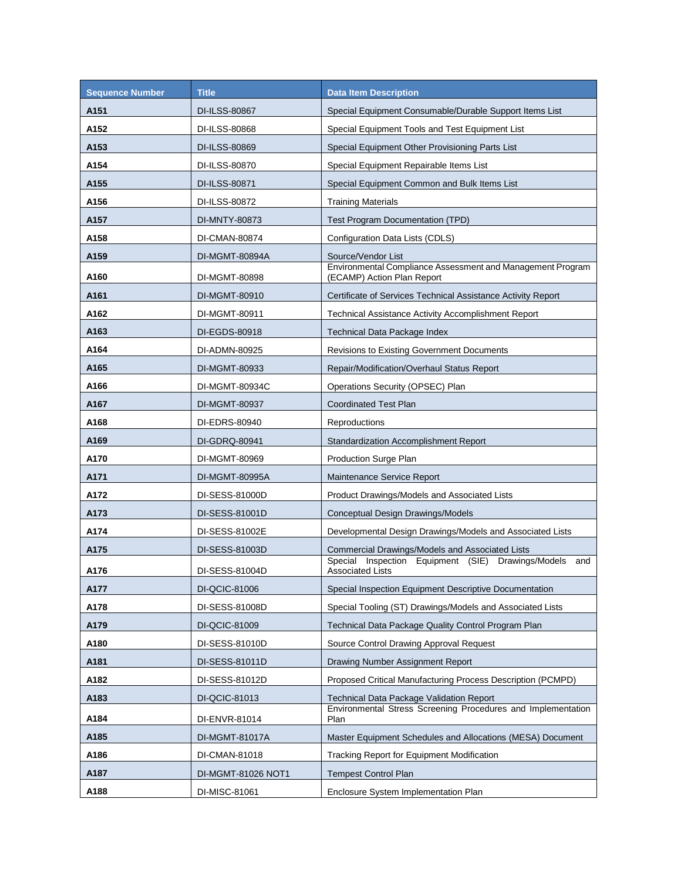| <b>Sequence Number</b> | <b>Title</b>       | <b>Data Item Description</b>                                                               |
|------------------------|--------------------|--------------------------------------------------------------------------------------------|
| A151                   | DI-ILSS-80867      | Special Equipment Consumable/Durable Support Items List                                    |
| A152                   | DI-ILSS-80868      | Special Equipment Tools and Test Equipment List                                            |
| A153                   | DI-ILSS-80869      | Special Equipment Other Provisioning Parts List                                            |
| A154                   | DI-ILSS-80870      | Special Equipment Repairable Items List                                                    |
| A155                   | DI-ILSS-80871      | Special Equipment Common and Bulk Items List                                               |
| A156                   | DI-ILSS-80872      | <b>Training Materials</b>                                                                  |
| A157                   | DI-MNTY-80873      | Test Program Documentation (TPD)                                                           |
| A158                   | DI-CMAN-80874      | Configuration Data Lists (CDLS)                                                            |
| A159                   | DI-MGMT-80894A     | Source/Vendor List                                                                         |
| A160                   | DI-MGMT-80898      | Environmental Compliance Assessment and Management Program<br>(ECAMP) Action Plan Report   |
| A161                   | DI-MGMT-80910      | Certificate of Services Technical Assistance Activity Report                               |
| A162                   | DI-MGMT-80911      | Technical Assistance Activity Accomplishment Report                                        |
| A163                   | DI-EGDS-80918      | Technical Data Package Index                                                               |
| A164                   | DI-ADMN-80925      | <b>Revisions to Existing Government Documents</b>                                          |
| A165                   | DI-MGMT-80933      | Repair/Modification/Overhaul Status Report                                                 |
| A166                   | DI-MGMT-80934C     | Operations Security (OPSEC) Plan                                                           |
| A167                   | DI-MGMT-80937      | <b>Coordinated Test Plan</b>                                                               |
| A168                   | DI-EDRS-80940      | Reproductions                                                                              |
| A169                   | DI-GDRQ-80941      | <b>Standardization Accomplishment Report</b>                                               |
| A170                   | DI-MGMT-80969      | Production Surge Plan                                                                      |
| A171                   | DI-MGMT-80995A     | Maintenance Service Report                                                                 |
| A172                   | DI-SESS-81000D     | Product Drawings/Models and Associated Lists                                               |
| A173                   | DI-SESS-81001D     | Conceptual Design Drawings/Models                                                          |
| A174                   | DI-SESS-81002E     | Developmental Design Drawings/Models and Associated Lists                                  |
| A175                   | DI-SESS-81003D     | Commercial Drawings/Models and Associated Lists                                            |
| A176                   | DI-SESS-81004D     | Special Inspection<br>Equipment (SIE)<br>Drawings/Models<br>and<br><b>Associated Lists</b> |
| A177                   | DI-QCIC-81006      | Special Inspection Equipment Descriptive Documentation                                     |
| A178                   | DI-SESS-81008D     | Special Tooling (ST) Drawings/Models and Associated Lists                                  |
| A179                   | DI-QCIC-81009      | Technical Data Package Quality Control Program Plan                                        |
| A180                   | DI-SESS-81010D     | Source Control Drawing Approval Request                                                    |
| A181                   | DI-SESS-81011D     | Drawing Number Assignment Report                                                           |
| A182                   | DI-SESS-81012D     | Proposed Critical Manufacturing Process Description (PCMPD)                                |
| A183                   | DI-QCIC-81013      | Technical Data Package Validation Report                                                   |
| A184                   | DI-ENVR-81014      | Environmental Stress Screening Procedures and Implementation<br>Plan                       |
| A185                   | DI-MGMT-81017A     | Master Equipment Schedules and Allocations (MESA) Document                                 |
| A186                   | DI-CMAN-81018      | <b>Tracking Report for Equipment Modification</b>                                          |
| A187                   | DI-MGMT-81026 NOT1 | <b>Tempest Control Plan</b>                                                                |
| A188                   | DI-MISC-81061      | Enclosure System Implementation Plan                                                       |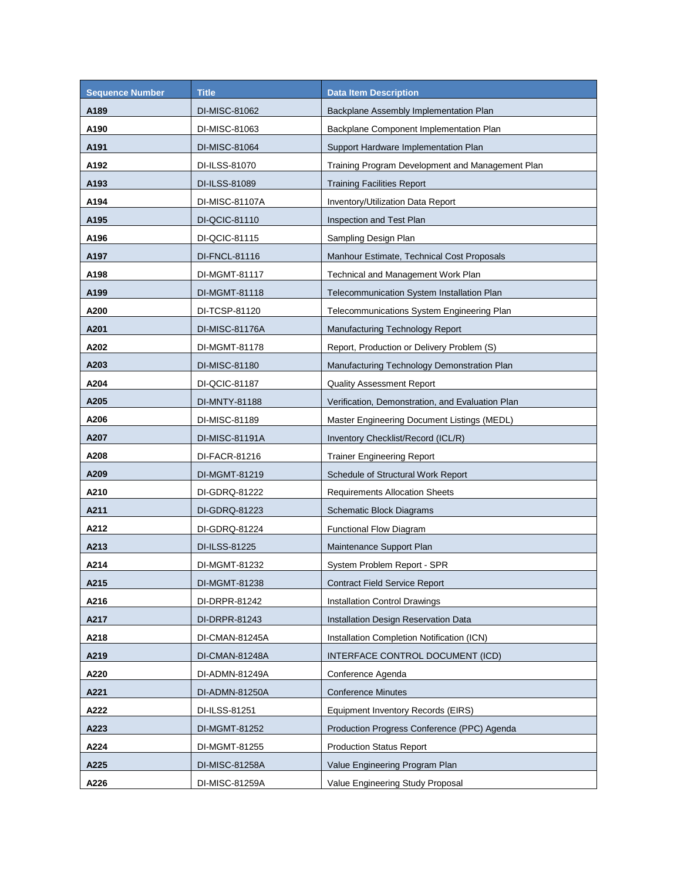| <b>Sequence Number</b> | <b>Title</b>   | <b>Data Item Description</b>                     |
|------------------------|----------------|--------------------------------------------------|
| A189                   | DI-MISC-81062  | Backplane Assembly Implementation Plan           |
| A190                   | DI-MISC-81063  | Backplane Component Implementation Plan          |
| A191                   | DI-MISC-81064  | Support Hardware Implementation Plan             |
| A192                   | DI-ILSS-81070  | Training Program Development and Management Plan |
| A193                   | DI-ILSS-81089  | <b>Training Facilities Report</b>                |
| A194                   | DI-MISC-81107A | Inventory/Utilization Data Report                |
| A195                   | DI-QCIC-81110  | Inspection and Test Plan                         |
| A196                   | DI-QCIC-81115  | Sampling Design Plan                             |
| A197                   | DI-FNCL-81116  | Manhour Estimate, Technical Cost Proposals       |
| A198                   | DI-MGMT-81117  | Technical and Management Work Plan               |
| A199                   | DI-MGMT-81118  | Telecommunication System Installation Plan       |
| A200                   | DI-TCSP-81120  | Telecommunications System Engineering Plan       |
| A201                   | DI-MISC-81176A | Manufacturing Technology Report                  |
| A202                   | DI-MGMT-81178  | Report, Production or Delivery Problem (S)       |
| A203                   | DI-MISC-81180  | Manufacturing Technology Demonstration Plan      |
| A204                   | DI-QCIC-81187  | <b>Quality Assessment Report</b>                 |
| A205                   | DI-MNTY-81188  | Verification, Demonstration, and Evaluation Plan |
| A206                   | DI-MISC-81189  | Master Engineering Document Listings (MEDL)      |
| A207                   | DI-MISC-81191A | Inventory Checklist/Record (ICL/R)               |
| A208                   | DI-FACR-81216  | <b>Trainer Engineering Report</b>                |
| A209                   | DI-MGMT-81219  | Schedule of Structural Work Report               |
| A210                   | DI-GDRQ-81222  | <b>Requirements Allocation Sheets</b>            |
| A211                   | DI-GDRQ-81223  | Schematic Block Diagrams                         |
| A212                   | DI-GDRQ-81224  | <b>Functional Flow Diagram</b>                   |
| A213                   | DI-ILSS-81225  | Maintenance Support Plan                         |
| A214                   | DI-MGMT-81232  | System Problem Report - SPR                      |
| A215                   | DI-MGMT-81238  | <b>Contract Field Service Report</b>             |
| A216                   | DI-DRPR-81242  | <b>Installation Control Drawings</b>             |
| A217                   | DI-DRPR-81243  | Installation Design Reservation Data             |
| A218                   | DI-CMAN-81245A | Installation Completion Notification (ICN)       |
| A219                   | DI-CMAN-81248A | INTERFACE CONTROL DOCUMENT (ICD)                 |
| A220                   | DI-ADMN-81249A | Conference Agenda                                |
| A221                   | DI-ADMN-81250A | <b>Conference Minutes</b>                        |
| A222                   | DI-ILSS-81251  | <b>Equipment Inventory Records (EIRS)</b>        |
| A223                   | DI-MGMT-81252  | Production Progress Conference (PPC) Agenda      |
| A224                   | DI-MGMT-81255  | <b>Production Status Report</b>                  |
| A225                   | DI-MISC-81258A | Value Engineering Program Plan                   |
| A226                   | DI-MISC-81259A | Value Engineering Study Proposal                 |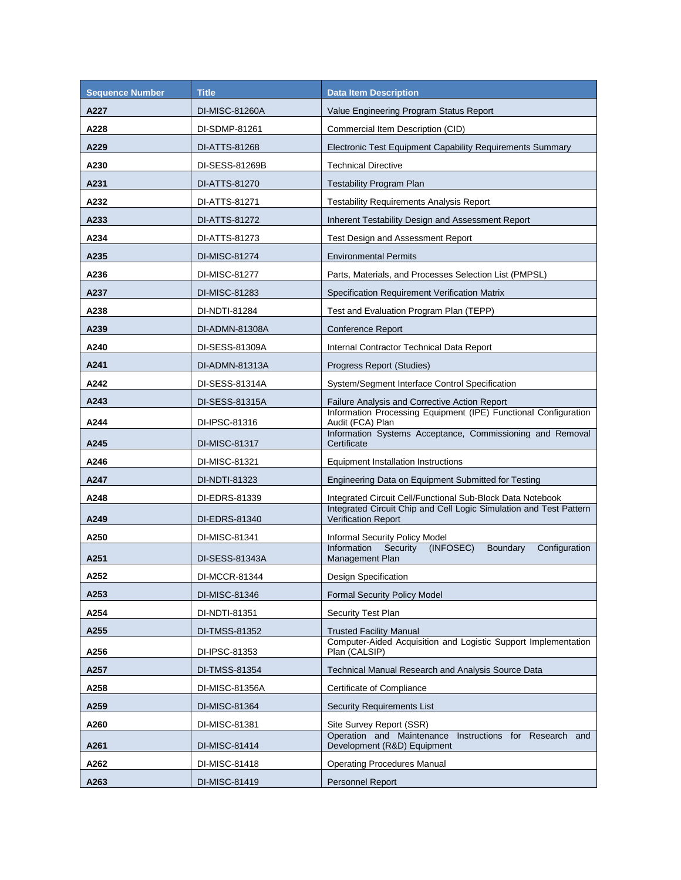| <b>Sequence Number</b> | <b>Title</b>   | <b>Data Item Description</b>                                                                     |
|------------------------|----------------|--------------------------------------------------------------------------------------------------|
| A227                   | DI-MISC-81260A | Value Engineering Program Status Report                                                          |
| A228                   | DI-SDMP-81261  | Commercial Item Description (CID)                                                                |
| A229                   | DI-ATTS-81268  | Electronic Test Equipment Capability Requirements Summary                                        |
| A230                   | DI-SESS-81269B | <b>Technical Directive</b>                                                                       |
| A231                   | DI-ATTS-81270  | <b>Testability Program Plan</b>                                                                  |
| A232                   | DI-ATTS-81271  | <b>Testability Requirements Analysis Report</b>                                                  |
| A233                   | DI-ATTS-81272  | Inherent Testability Design and Assessment Report                                                |
| A234                   | DI-ATTS-81273  | Test Design and Assessment Report                                                                |
| A235                   | DI-MISC-81274  | <b>Environmental Permits</b>                                                                     |
| A236                   | DI-MISC-81277  | Parts, Materials, and Processes Selection List (PMPSL)                                           |
| A237                   | DI-MISC-81283  | Specification Requirement Verification Matrix                                                    |
| A238                   | DI-NDTI-81284  | Test and Evaluation Program Plan (TEPP)                                                          |
| A239                   | DI-ADMN-81308A | <b>Conference Report</b>                                                                         |
| A240                   | DI-SESS-81309A | Internal Contractor Technical Data Report                                                        |
| A241                   | DI-ADMN-81313A | Progress Report (Studies)                                                                        |
| A242                   | DI-SESS-81314A | System/Segment Interface Control Specification                                                   |
| A243                   | DI-SESS-81315A | Failure Analysis and Corrective Action Report                                                    |
| A244                   | DI-IPSC-81316  | Information Processing Equipment (IPE) Functional Configuration<br>Audit (FCA) Plan              |
| A245                   | DI-MISC-81317  | Information Systems Acceptance, Commissioning and Removal<br>Certificate                         |
| A246                   | DI-MISC-81321  | <b>Equipment Installation Instructions</b>                                                       |
| A247                   | DI-NDTI-81323  | Engineering Data on Equipment Submitted for Testing                                              |
| A248                   | DI-EDRS-81339  | Integrated Circuit Cell/Functional Sub-Block Data Notebook                                       |
| A249                   | DI-EDRS-81340  | Integrated Circuit Chip and Cell Logic Simulation and Test Pattern<br><b>Verification Report</b> |
| A250                   | DI-MISC-81341  | Informal Security Policy Model                                                                   |
| A251                   | DI-SESS-81343A | Information<br>Security<br>(INFOSEC)<br>Boundary<br>Configuration<br>Management Plan             |
| A252                   | DI-MCCR-81344  | Design Specification                                                                             |
| A253                   | DI-MISC-81346  | <b>Formal Security Policy Model</b>                                                              |
| A254                   | DI-NDTI-81351  | Security Test Plan                                                                               |
| A255                   | DI-TMSS-81352  | <b>Trusted Facility Manual</b>                                                                   |
| A256                   | DI-IPSC-81353  | Computer-Aided Acquisition and Logistic Support Implementation<br>Plan (CALSIP)                  |
| A257                   | DI-TMSS-81354  | <b>Technical Manual Research and Analysis Source Data</b>                                        |
| A258                   | DI-MISC-81356A | Certificate of Compliance                                                                        |
| A259                   | DI-MISC-81364  | <b>Security Requirements List</b>                                                                |
| A260                   | DI-MISC-81381  | Site Survey Report (SSR)                                                                         |
| A261                   | DI-MISC-81414  | Operation and Maintenance Instructions for Research and<br>Development (R&D) Equipment           |
| A262                   | DI-MISC-81418  | <b>Operating Procedures Manual</b>                                                               |
| A263                   | DI-MISC-81419  | Personnel Report                                                                                 |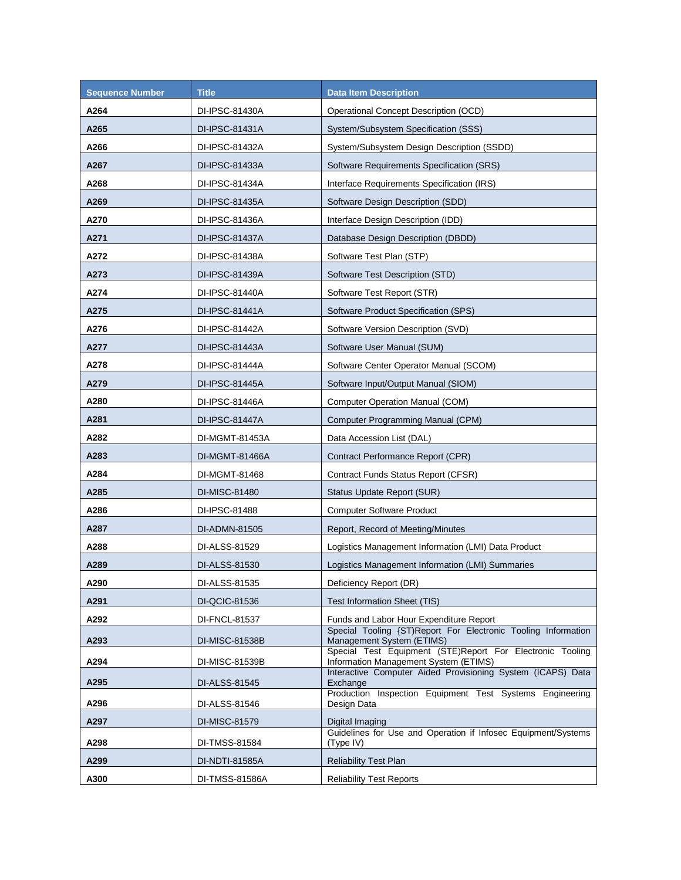| <b>Sequence Number</b> | <b>Title</b>   | <b>Data Item Description</b>                                                                       |
|------------------------|----------------|----------------------------------------------------------------------------------------------------|
| A264                   | DI-IPSC-81430A | Operational Concept Description (OCD)                                                              |
| A265                   | DI-IPSC-81431A | System/Subsystem Specification (SSS)                                                               |
| A266                   | DI-IPSC-81432A | System/Subsystem Design Description (SSDD)                                                         |
| A267                   | DI-IPSC-81433A | Software Requirements Specification (SRS)                                                          |
| A268                   | DI-IPSC-81434A | Interface Requirements Specification (IRS)                                                         |
| A269                   | DI-IPSC-81435A | Software Design Description (SDD)                                                                  |
| A270                   | DI-IPSC-81436A | Interface Design Description (IDD)                                                                 |
| A271                   | DI-IPSC-81437A | Database Design Description (DBDD)                                                                 |
| A272                   | DI-IPSC-81438A | Software Test Plan (STP)                                                                           |
| A273                   | DI-IPSC-81439A | Software Test Description (STD)                                                                    |
| A274                   | DI-IPSC-81440A | Software Test Report (STR)                                                                         |
| A275                   | DI-IPSC-81441A | Software Product Specification (SPS)                                                               |
| A276                   | DI-IPSC-81442A | Software Version Description (SVD)                                                                 |
| A277                   | DI-IPSC-81443A | Software User Manual (SUM)                                                                         |
| A278                   | DI-IPSC-81444A | Software Center Operator Manual (SCOM)                                                             |
| A279                   | DI-IPSC-81445A | Software Input/Output Manual (SIOM)                                                                |
| A280                   | DI-IPSC-81446A | <b>Computer Operation Manual (COM)</b>                                                             |
| A281                   | DI-IPSC-81447A | Computer Programming Manual (CPM)                                                                  |
| A282                   | DI-MGMT-81453A | Data Accession List (DAL)                                                                          |
| A283                   | DI-MGMT-81466A | Contract Performance Report (CPR)                                                                  |
| A284                   | DI-MGMT-81468  | Contract Funds Status Report (CFSR)                                                                |
| A285                   | DI-MISC-81480  | Status Update Report (SUR)                                                                         |
| A286                   | DI-IPSC-81488  | <b>Computer Software Product</b>                                                                   |
| A287                   | DI-ADMN-81505  | Report, Record of Meeting/Minutes                                                                  |
| A288                   | DI-ALSS-81529  | Logistics Management Information (LMI) Data Product                                                |
| A289                   | DI-ALSS-81530  | Logistics Management Information (LMI) Summaries                                                   |
| A290                   | DI-ALSS-81535  | Deficiency Report (DR)                                                                             |
| A291                   | DI-QCIC-81536  | Test Information Sheet (TIS)                                                                       |
| A292                   | DI-FNCL-81537  | Funds and Labor Hour Expenditure Report                                                            |
| A293                   | DI-MISC-81538B | Special Tooling {ST)Report For Electronic Tooling Information<br>Management System (ETIMS)         |
| A294                   | DI-MISC-81539B | Special Test Equipment (STE)Report For Electronic Tooling<br>Information Management System (ETIMS) |
| A295                   | DI-ALSS-81545  | Interactive Computer Aided Provisioning System (ICAPS) Data<br>Exchange                            |
| A296                   |                | Production Inspection Equipment Test Systems Engineering                                           |
|                        | DI-ALSS-81546  | Design Data                                                                                        |
| A297                   | DI-MISC-81579  | Digital Imaging<br>Guidelines for Use and Operation if Infosec Equipment/Systems                   |
| A298                   | DI-TMSS-81584  | (Type IV)                                                                                          |
| A299                   | DI-NDTI-81585A | <b>Reliability Test Plan</b>                                                                       |
| A300                   | DI-TMSS-81586A | <b>Reliability Test Reports</b>                                                                    |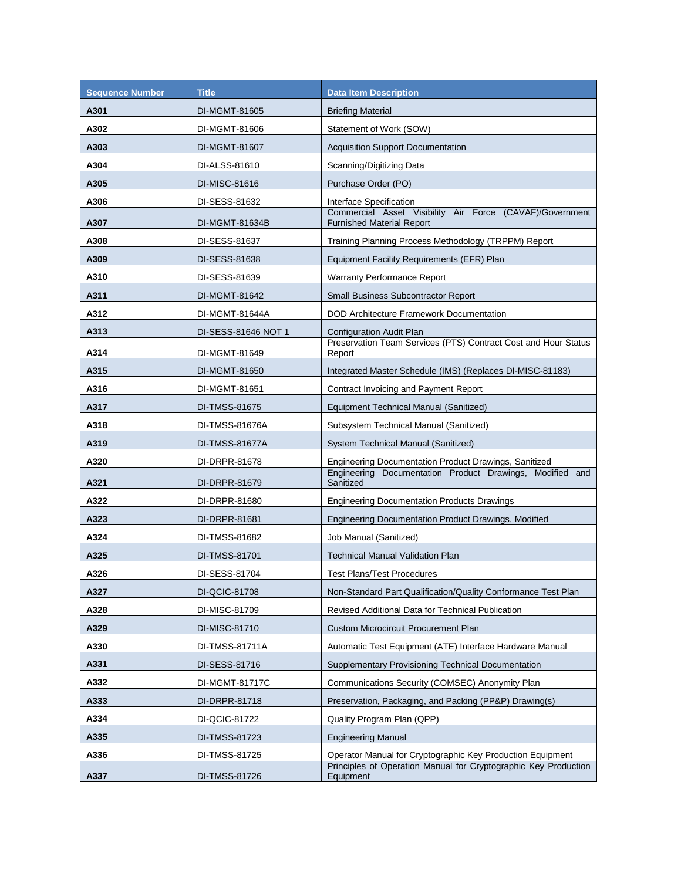| <b>Sequence Number</b> | <b>Title</b>        | <b>Data Item Description</b>                                                                 |
|------------------------|---------------------|----------------------------------------------------------------------------------------------|
| A301                   | DI-MGMT-81605       | <b>Briefing Material</b>                                                                     |
| A302                   | DI-MGMT-81606       | Statement of Work (SOW)                                                                      |
| A303                   | DI-MGMT-81607       | <b>Acquisition Support Documentation</b>                                                     |
| A304                   | DI-ALSS-81610       | Scanning/Digitizing Data                                                                     |
| A305                   | DI-MISC-81616       | Purchase Order (PO)                                                                          |
| A306                   | DI-SESS-81632       | Interface Specification                                                                      |
| A307                   | DI-MGMT-81634B      | Commercial Asset Visibility Air Force (CAVAF)/Government<br><b>Furnished Material Report</b> |
| A308                   | DI-SESS-81637       | Training Planning Process Methodology (TRPPM) Report                                         |
| A309                   | DI-SESS-81638       | Equipment Facility Requirements (EFR) Plan                                                   |
| A310                   | DI-SESS-81639       | <b>Warranty Performance Report</b>                                                           |
| A311                   | DI-MGMT-81642       | <b>Small Business Subcontractor Report</b>                                                   |
| A312                   | DI-MGMT-81644A      | DOD Architecture Framework Documentation                                                     |
| A313                   | DI-SESS-81646 NOT 1 | Configuration Audit Plan                                                                     |
| A314                   | DI-MGMT-81649       | Preservation Team Services (PTS) Contract Cost and Hour Status<br>Report                     |
| A315                   | DI-MGMT-81650       | Integrated Master Schedule (IMS) (Replaces DI-MISC-81183)                                    |
| A316                   | DI-MGMT-81651       | Contract Invoicing and Payment Report                                                        |
| A317                   | DI-TMSS-81675       | Equipment Technical Manual (Sanitized)                                                       |
| A318                   | DI-TMSS-81676A      | Subsystem Technical Manual (Sanitized)                                                       |
| A319                   | DI-TMSS-81677A      | System Technical Manual (Sanitized)                                                          |
| A320                   | DI-DRPR-81678       | Engineering Documentation Product Drawings, Sanitized                                        |
| A321                   | DI-DRPR-81679       | Engineering Documentation Product Drawings, Modified and<br>Sanitized                        |
| A322                   | DI-DRPR-81680       | <b>Engineering Documentation Products Drawings</b>                                           |
| A323                   | DI-DRPR-81681       | Engineering Documentation Product Drawings, Modified                                         |
| A324                   | DI-TMSS-81682       | Job Manual (Sanitized)                                                                       |
| A325                   | DI-TMSS-81701       | <b>Technical Manual Validation Plan</b>                                                      |
| A326                   | DI-SESS-81704       | <b>Test Plans/Test Procedures</b>                                                            |
| A327                   | DI-QCIC-81708       | Non-Standard Part Qualification/Quality Conformance Test Plan                                |
| A328                   | DI-MISC-81709       | Revised Additional Data for Technical Publication                                            |
| A329                   | DI-MISC-81710       | <b>Custom Microcircuit Procurement Plan</b>                                                  |
| A330                   | DI-TMSS-81711A      | Automatic Test Equipment (ATE) Interface Hardware Manual                                     |
| A331                   | DI-SESS-81716       | <b>Supplementary Provisioning Technical Documentation</b>                                    |
| A332                   | DI-MGMT-81717C      | Communications Security (COMSEC) Anonymity Plan                                              |
| A333                   | DI-DRPR-81718       | Preservation, Packaging, and Packing (PP&P) Drawing(s)                                       |
| A334                   | DI-QCIC-81722       | Quality Program Plan (QPP)                                                                   |
| A335                   | DI-TMSS-81723       | <b>Engineering Manual</b>                                                                    |
| A336                   | DI-TMSS-81725       | Operator Manual for Cryptographic Key Production Equipment                                   |
| A337                   | DI-TMSS-81726       | Principles of Operation Manual for Cryptographic Key Production<br>Equipment                 |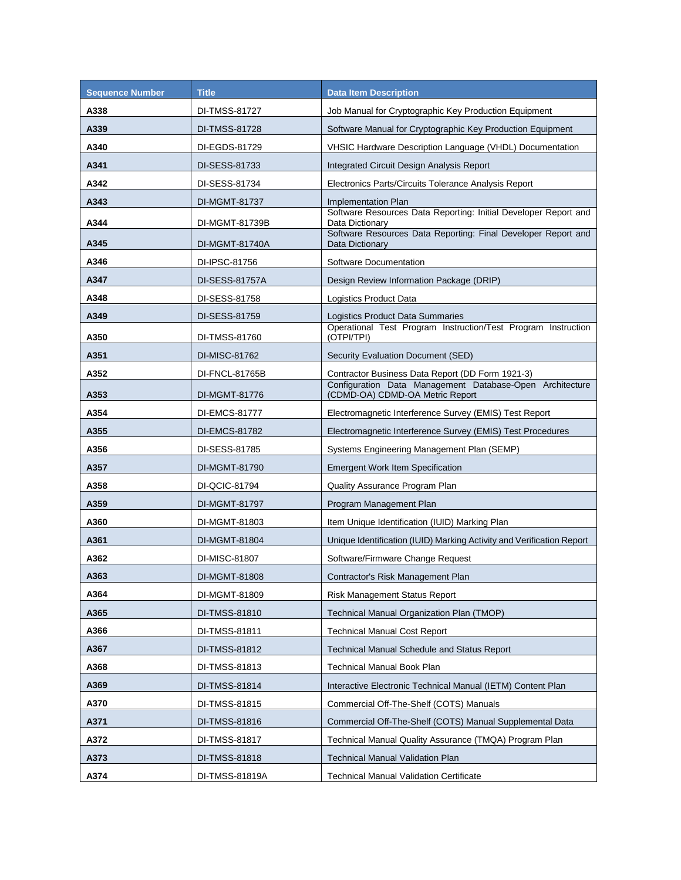| <b>Sequence Number</b> | <b>Title</b>   | <b>Data Item Description</b>                                                                |
|------------------------|----------------|---------------------------------------------------------------------------------------------|
| A338                   | DI-TMSS-81727  | Job Manual for Cryptographic Key Production Equipment                                       |
| A339                   | DI-TMSS-81728  | Software Manual for Cryptographic Key Production Equipment                                  |
| A340                   | DI-EGDS-81729  | VHSIC Hardware Description Language (VHDL) Documentation                                    |
| A341                   | DI-SESS-81733  | Integrated Circuit Design Analysis Report                                                   |
| A342                   | DI-SESS-81734  | Electronics Parts/Circuits Tolerance Analysis Report                                        |
| A343                   | DI-MGMT-81737  | Implementation Plan                                                                         |
| A344                   | DI-MGMT-81739B | Software Resources Data Reporting: Initial Developer Report and<br>Data Dictionary          |
| A345                   | DI-MGMT-81740A | Software Resources Data Reporting: Final Developer Report and<br>Data Dictionary            |
| A346                   | DI-IPSC-81756  | Software Documentation                                                                      |
| A347                   | DI-SESS-81757A | Design Review Information Package (DRIP)                                                    |
| A348                   | DI-SESS-81758  | Logistics Product Data                                                                      |
| A349                   | DI-SESS-81759  | <b>Logistics Product Data Summaries</b>                                                     |
| A350                   | DI-TMSS-81760  | Operational Test Program Instruction/Test Program Instruction<br>(OTPI/TPI)                 |
| A351                   | DI-MISC-81762  | Security Evaluation Document (SED)                                                          |
| A352                   | DI-FNCL-81765B | Contractor Business Data Report (DD Form 1921-3)                                            |
| A353                   | DI-MGMT-81776  | Configuration Data Management Database-Open Architecture<br>(CDMD-OA) CDMD-OA Metric Report |
| A354                   | DI-EMCS-81777  | Electromagnetic Interference Survey (EMIS) Test Report                                      |
| A355                   | DI-EMCS-81782  | Electromagnetic Interference Survey (EMIS) Test Procedures                                  |
| A356                   | DI-SESS-81785  | Systems Engineering Management Plan (SEMP)                                                  |
| A357                   | DI-MGMT-81790  | <b>Emergent Work Item Specification</b>                                                     |
| A358                   | DI-QCIC-81794  | Quality Assurance Program Plan                                                              |
| A359                   | DI-MGMT-81797  | Program Management Plan                                                                     |
| A360                   | DI-MGMT-81803  | Item Unique Identification (IUID) Marking Plan                                              |
| A361                   | DI-MGMT-81804  | Unique Identification (IUID) Marking Activity and Verification Report                       |
| A362                   | DI-MISC-81807  | Software/Firmware Change Request                                                            |
| A363                   | DI-MGMT-81808  | Contractor's Risk Management Plan                                                           |
| A364                   | DI-MGMT-81809  | Risk Management Status Report                                                               |
| A365                   | DI-TMSS-81810  | Technical Manual Organization Plan (TMOP)                                                   |
| A366                   | DI-TMSS-81811  | Technical Manual Cost Report                                                                |
| A367                   | DI-TMSS-81812  | <b>Technical Manual Schedule and Status Report</b>                                          |
| A368                   | DI-TMSS-81813  | <b>Technical Manual Book Plan</b>                                                           |
| A369                   | DI-TMSS-81814  | Interactive Electronic Technical Manual (IETM) Content Plan                                 |
| A370                   | DI-TMSS-81815  | Commercial Off-The-Shelf (COTS) Manuals                                                     |
| A371                   | DI-TMSS-81816  | Commercial Off-The-Shelf (COTS) Manual Supplemental Data                                    |
| A372                   | DI-TMSS-81817  | Technical Manual Quality Assurance (TMQA) Program Plan                                      |
| A373                   | DI-TMSS-81818  | <b>Technical Manual Validation Plan</b>                                                     |
| A374                   | DI-TMSS-81819A | <b>Technical Manual Validation Certificate</b>                                              |